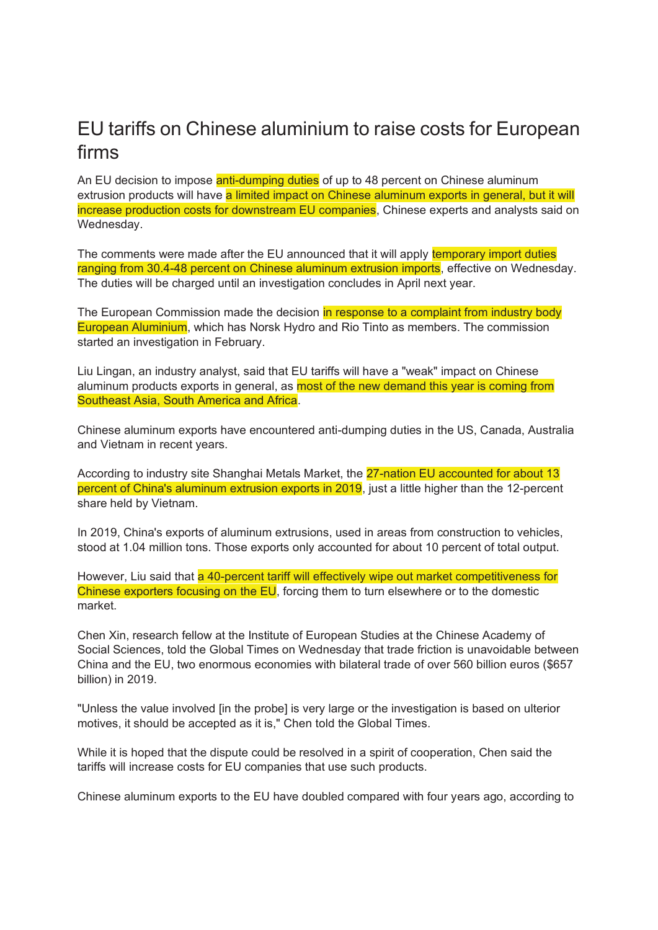## EU tariffs on Chinese aluminium to raise costs for European firms

An EU decision to impose anti-dumping duties of up to 48 percent on Chinese aluminum extrusion products will have a limited impact on Chinese aluminum exports in general, but it will increase production costs for downstream EU companies, Chinese experts and analysts said on Wednesday.

The comments were made after the EU announced that it will apply temporary import duties ranging from 30.4-48 percent on Chinese aluminum extrusion imports, effective on Wednesday. The duties will be charged until an investigation concludes in April next year.

The European Commission made the decision in response to a complaint from industry body European Aluminium, which has Norsk Hydro and Rio Tinto as members. The commission started an investigation in February.

Liu Lingan, an industry analyst, said that EU tariffs will have a "weak" impact on Chinese aluminum products exports in general, as most of the new demand this year is coming from Southeast Asia, South America and Africa.

Chinese aluminum exports have encountered anti-dumping duties in the US, Canada, Australia and Vietnam in recent years.

According to industry site Shanghai Metals Market, the 27-nation EU accounted for about 13 percent of China's aluminum extrusion exports in 2019, just a little higher than the 12-percent share held by Vietnam.

In 2019, China's exports of aluminum extrusions, used in areas from construction to vehicles, stood at 1.04 million tons. Those exports only accounted for about 10 percent of total output.

However, Liu said that a 40-percent tariff will effectively wipe out market competitiveness for Chinese exporters focusing on the EU, forcing them to turn elsewhere or to the domestic market.

Chen Xin, research fellow at the Institute of European Studies at the Chinese Academy of Social Sciences, told the Global Times on Wednesday that trade friction is unavoidable between China and the EU, two enormous economies with bilateral trade of over 560 billion euros (\$657 billion) in 2019.

"Unless the value involved [in the probe] is very large or the investigation is based on ulterior motives, it should be accepted as it is," Chen told the Global Times.

While it is hoped that the dispute could be resolved in a spirit of cooperation, Chen said the tariffs will increase costs for EU companies that use such products.

Chinese aluminum exports to the EU have doubled compared with four years ago, according to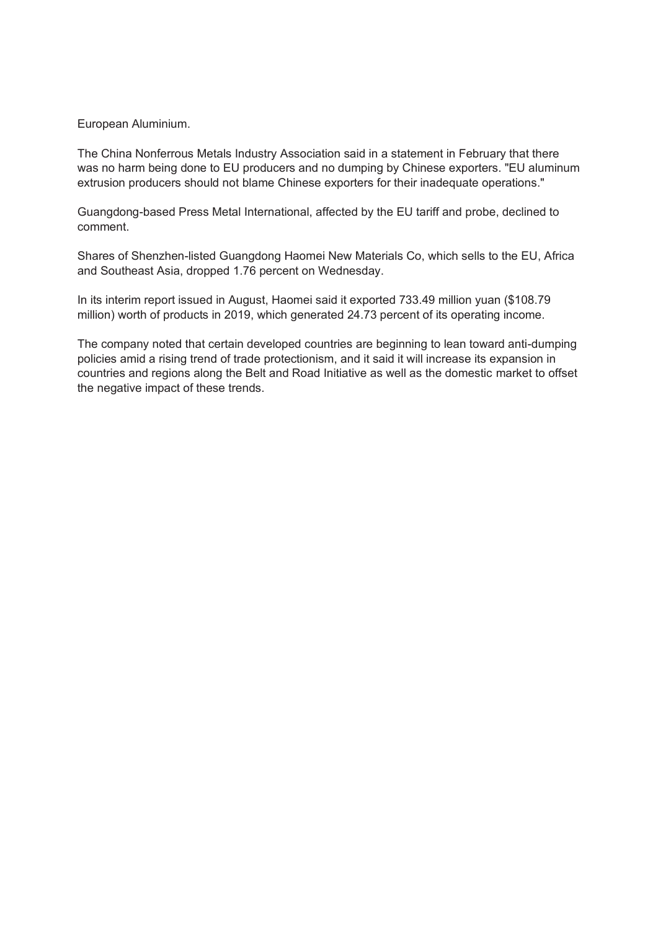## European Aluminium.

The China Nonferrous Metals Industry Association said in a statement in February that there was no harm being done to EU producers and no dumping by Chinese exporters. "EU aluminum extrusion producers should not blame Chinese exporters for their inadequate operations."

Guangdong-based Press Metal International, affected by the EU tariff and probe, declined to comment.

Shares of Shenzhen-listed Guangdong Haomei New Materials Co, which sells to the EU, Africa and Southeast Asia, dropped 1.76 percent on Wednesday.

In its interim report issued in August, Haomei said it exported 733.49 million yuan (\$108.79 million) worth of products in 2019, which generated 24.73 percent of its operating income.

The company noted that certain developed countries are beginning to lean toward anti-dumping policies amid a rising trend of trade protectionism, and it said it will increase its expansion in countries and regions along the Belt and Road Initiative as well as the domestic market to offset the negative impact of these trends.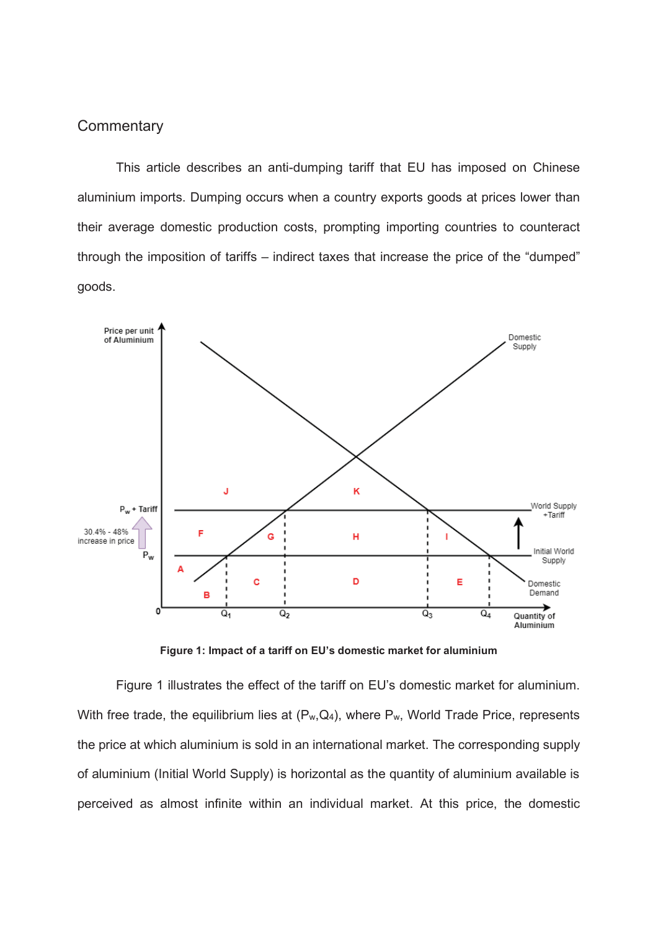## **Commentary**

This article describes an anti-dumping tariff that EU has imposed on Chinese aluminium imports. Dumping occurs when a country exports goods at prices lower than their average domestic production costs, prompting importing countries to counteract through the imposition of tariffs – indirect taxes that increase the price of the "dumped" goods.



**Figure 1: Impact of a tariff on EU's domestic market for aluminium**

Figure 1 illustrates the effect of the tariff on EU's domestic market for aluminium. With free trade, the equilibrium lies at  $(P_w,Q_4)$ , where  $P_w$ , World Trade Price, represents the price at which aluminium is sold in an international market. The corresponding supply of aluminium (Initial World Supply) is horizontal as the quantity of aluminium available is perceived as almost infinite within an individual market. At this price, the domestic